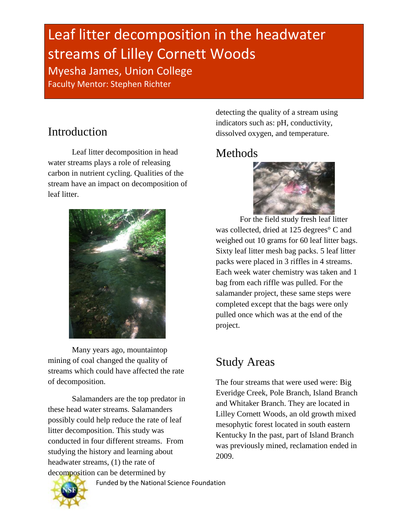# Leaf litter decomposition in the headwater streams of Lilley Cornett Woods Myesha James, Union College

Faculty Mentor: Stephen Richter

# Introduction

Leaf litter decomposition in head water streams plays a role of releasing carbon in nutrient cycling. Qualities of the stream have an impact on decomposition of leaf litter.



Many years ago, mountaintop mining of coal changed the quality of streams which could have affected the rate of decomposition.

Salamanders are the top predator in these head water streams. Salamanders possibly could help reduce the rate of leaf litter decomposition. This study was conducted in four different streams. From studying the history and learning about headwater streams, (1) the rate of decomposition can be determined by

detecting the quality of a stream using indicators such as: pH, conductivity, dissolved oxygen, and temperature.

## Methods



For the field study fresh leaf litter was collected, dried at 125 degrees° C and weighed out 10 grams for 60 leaf litter bags. Sixty leaf litter mesh bag packs. 5 leaf litter packs were placed in 3 riffles in 4 streams. Each week water chemistry was taken and 1 bag from each riffle was pulled. For the salamander project, these same steps were completed except that the bags were only pulled once which was at the end of the project.

# Study Areas

The four streams that were used were: Big Everidge Creek, Pole Branch, Island Branch and Whitaker Branch. They are located in Lilley Cornett Woods, an old growth mixed mesophytic forest located in south eastern Kentucky In the past, part of Island Branch was previously mined, reclamation ended in 2009.

Funded by the National Science Foundation